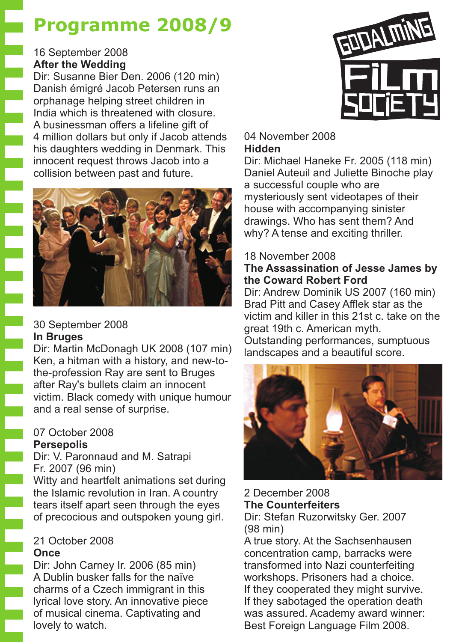# **Programme 2008/9**

# 16 September 2008 **After the Wedding**

**Free Second** 

Dir: Susanne Bier Den. 2006 (120 min) Danish émigré Jacob Petersen runs an orphanage helping street children in India which is threatened with closure. A businessman offers a lifeline gift of 4 million dollars but only if Jacob attends his daughters wedding in Denmark. This innocent request throws Jacob into a collision between past and future.



# 30 September 2008 **In Bruges**

Dir: Martin McDonagh UK 2008 (107 min) Ken, a hitman with a history, and new-tothe-profession Ray are sent to Bruges after Ray's bullets claim an innocent victim. Black comedy with unique humour and a real sense of surprise.

#### 07 October 2008 **Persepolis**

Dir: V. Paronnaud and M. Satrapi Fr. 2007 (96 min)

Witty and heartfelt animations set during the Islamic revolution in Iran. A country tears itself apart seen through the eyes of precocious and outspoken young girl.

#### 21 October 2008 **Once**

Dir: John Carney Ir. 2006 (85 min) A Dublin busker falls for the naïve charms of a Czech immigrant in this lyrical love story. An innovative piece of musical cinema. Captivating and lovely to watch.



#### 04 November 2008 **Hidden**

Dir: Michael Haneke Fr. 2005 (118 min) Daniel Auteuil and Juliette Binoche play a successful couple who are mysteriously sent videotapes of their house with accompanying sinister drawings. Who has sent them? And why? A tense and exciting thriller.

# 18 November 2008

# **The Assassination of Jesse James by the Coward Robert Ford**

Dir: Andrew Dominik US 2007 (160 min) Brad Pitt and Casey Afflek star as the victim and killer in this 21st c. take on the great 19th c. American myth. Outstanding performances, sumptuous landscapes and a beautiful score.



2 December 2008 Dir: Stefan Ruzorwitsky Ger. 2007 (98 min) **The Counterfeiters**

A true story. At the Sachsenhausen concentration camp, barracks were transformed into Nazi counterfeiting workshops. Prisoners had a choice. If they cooperated they might survive. If they sabotaged the operation death was assured. Academy award winner: Best Foreign Language Film 2008.